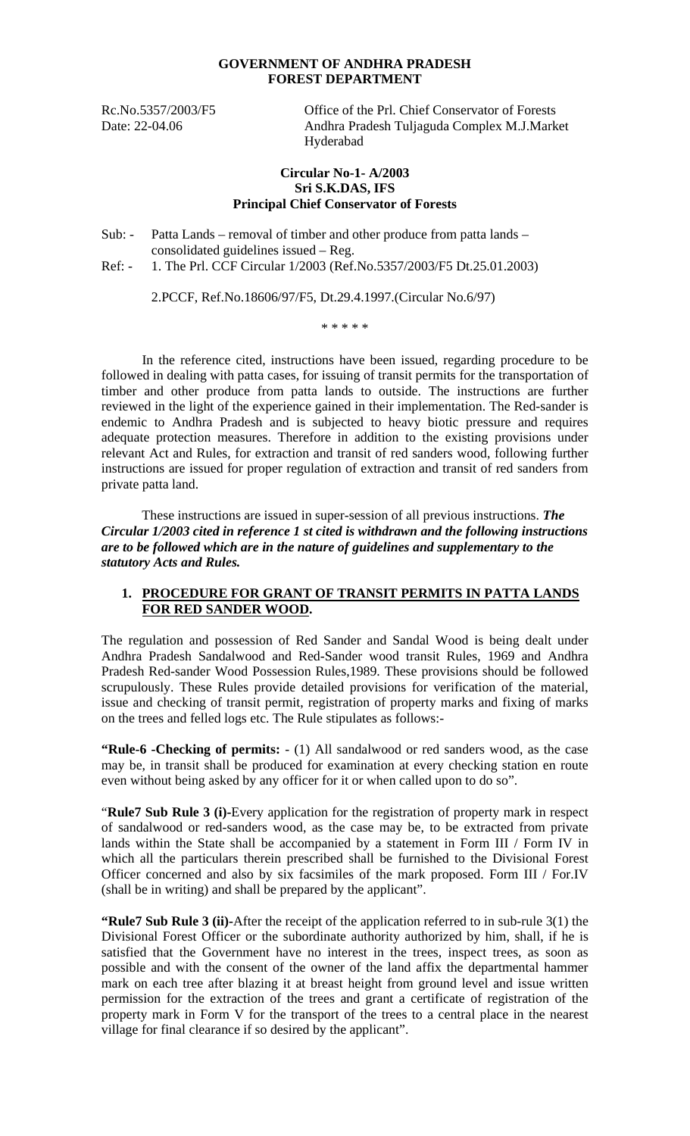### **GOVERNMENT OF ANDHRA PRADESH FOREST DEPARTMENT**

Rc.No.5357/2003/F5 Office of the Prl. Chief Conservator of Forests Date: 22-04.06 Andhra Pradesh Tuljaguda Complex M.J.Market Hyderabad

### **Circular No-1- A/2003 Sri S.K.DAS, IFS Principal Chief Conservator of Forests**

Sub: - Patta Lands – removal of timber and other produce from patta lands – consolidated guidelines issued – Reg. Ref: - 1. The Prl. CCF Circular 1/2003 (Ref.No.5357/2003/F5 Dt.25.01.2003)

2.PCCF, Ref.No.18606/97/F5, Dt.29.4.1997.(Circular No.6/97)

\* \* \* \* \*

In the reference cited, instructions have been issued, regarding procedure to be followed in dealing with patta cases, for issuing of transit permits for the transportation of timber and other produce from patta lands to outside. The instructions are further reviewed in the light of the experience gained in their implementation. The Red-sander is endemic to Andhra Pradesh and is subjected to heavy biotic pressure and requires adequate protection measures. Therefore in addition to the existing provisions under relevant Act and Rules, for extraction and transit of red sanders wood, following further instructions are issued for proper regulation of extraction and transit of red sanders from private patta land.

 These instructions are issued in super-session of all previous instructions. *The Circular 1/2003 cited in reference 1 st cited is withdrawn and the following instructions are to be followed which are in the nature of guidelines and supplementary to the statutory Acts and Rules.* 

## **1. PROCEDURE FOR GRANT OF TRANSIT PERMITS IN PATTA LANDS FOR RED SANDER WOOD.**

The regulation and possession of Red Sander and Sandal Wood is being dealt under Andhra Pradesh Sandalwood and Red-Sander wood transit Rules, 1969 and Andhra Pradesh Red-sander Wood Possession Rules,1989. These provisions should be followed scrupulously. These Rules provide detailed provisions for verification of the material, issue and checking of transit permit, registration of property marks and fixing of marks on the trees and felled logs etc. The Rule stipulates as follows:-

**"Rule-6 -Checking of permits:** - (1) All sandalwood or red sanders wood, as the case may be, in transit shall be produced for examination at every checking station en route even without being asked by any officer for it or when called upon to do so".

"**Rule7 Sub Rule 3 (i)-**Every application for the registration of property mark in respect of sandalwood or red-sanders wood, as the case may be, to be extracted from private lands within the State shall be accompanied by a statement in Form III / Form IV in which all the particulars therein prescribed shall be furnished to the Divisional Forest Officer concerned and also by six facsimiles of the mark proposed. Form III / For.IV (shall be in writing) and shall be prepared by the applicant".

**"Rule7 Sub Rule 3 (ii)-**After the receipt of the application referred to in sub-rule 3(1) the Divisional Forest Officer or the subordinate authority authorized by him, shall, if he is satisfied that the Government have no interest in the trees, inspect trees, as soon as possible and with the consent of the owner of the land affix the departmental hammer mark on each tree after blazing it at breast height from ground level and issue written permission for the extraction of the trees and grant a certificate of registration of the property mark in Form V for the transport of the trees to a central place in the nearest village for final clearance if so desired by the applicant".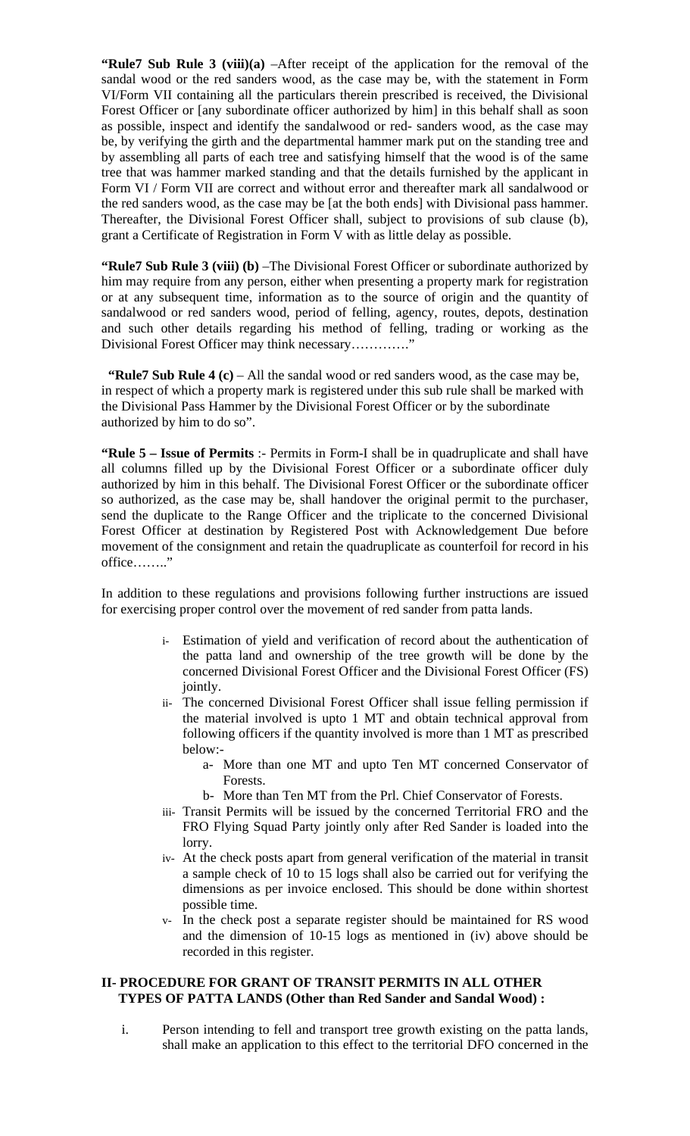**"Rule7 Sub Rule 3 (viii)(a)** –After receipt of the application for the removal of the sandal wood or the red sanders wood, as the case may be, with the statement in Form VI/Form VII containing all the particulars therein prescribed is received, the Divisional Forest Officer or [any subordinate officer authorized by him] in this behalf shall as soon as possible, inspect and identify the sandalwood or red- sanders wood, as the case may be, by verifying the girth and the departmental hammer mark put on the standing tree and by assembling all parts of each tree and satisfying himself that the wood is of the same tree that was hammer marked standing and that the details furnished by the applicant in Form VI / Form VII are correct and without error and thereafter mark all sandalwood or the red sanders wood, as the case may be [at the both ends] with Divisional pass hammer. Thereafter, the Divisional Forest Officer shall, subject to provisions of sub clause (b), grant a Certificate of Registration in Form V with as little delay as possible.

**"Rule7 Sub Rule 3 (viii) (b)** –The Divisional Forest Officer or subordinate authorized by him may require from any person, either when presenting a property mark for registration or at any subsequent time, information as to the source of origin and the quantity of sandalwood or red sanders wood, period of felling, agency, routes, depots, destination and such other details regarding his method of felling, trading or working as the Divisional Forest Officer may think necessary…………."

 **"Rule7 Sub Rule 4 (c)** – All the sandal wood or red sanders wood, as the case may be, in respect of which a property mark is registered under this sub rule shall be marked with the Divisional Pass Hammer by the Divisional Forest Officer or by the subordinate authorized by him to do so".

**"Rule 5 – Issue of Permits** :- Permits in Form-I shall be in quadruplicate and shall have all columns filled up by the Divisional Forest Officer or a subordinate officer duly authorized by him in this behalf. The Divisional Forest Officer or the subordinate officer so authorized, as the case may be, shall handover the original permit to the purchaser, send the duplicate to the Range Officer and the triplicate to the concerned Divisional Forest Officer at destination by Registered Post with Acknowledgement Due before movement of the consignment and retain the quadruplicate as counterfoil for record in his office…….."

In addition to these regulations and provisions following further instructions are issued for exercising proper control over the movement of red sander from patta lands.

- i- Estimation of yield and verification of record about the authentication of the patta land and ownership of the tree growth will be done by the concerned Divisional Forest Officer and the Divisional Forest Officer (FS) jointly.
- ii- The concerned Divisional Forest Officer shall issue felling permission if the material involved is upto 1 MT and obtain technical approval from following officers if the quantity involved is more than 1 MT as prescribed below:
	- a- More than one MT and upto Ten MT concerned Conservator of Forests.
	- b- More than Ten MT from the Prl. Chief Conservator of Forests.
- iii- Transit Permits will be issued by the concerned Territorial FRO and the FRO Flying Squad Party jointly only after Red Sander is loaded into the lorry.
- iv- At the check posts apart from general verification of the material in transit a sample check of 10 to 15 logs shall also be carried out for verifying the dimensions as per invoice enclosed. This should be done within shortest possible time.
- v- In the check post a separate register should be maintained for RS wood and the dimension of 10-15 logs as mentioned in (iv) above should be recorded in this register.

## **II- PROCEDURE FOR GRANT OF TRANSIT PERMITS IN ALL OTHER TYPES OF PATTA LANDS (Other than Red Sander and Sandal Wood) :**

i. Person intending to fell and transport tree growth existing on the patta lands, shall make an application to this effect to the territorial DFO concerned in the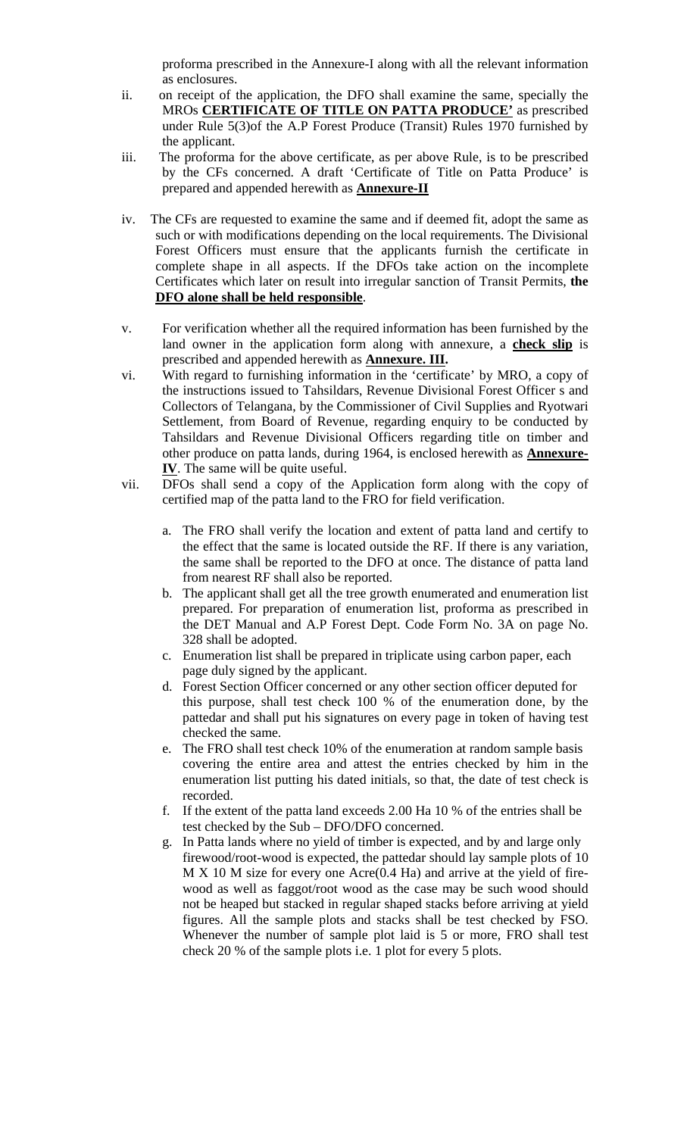proforma prescribed in the Annexure-I along with all the relevant information as enclosures.

- ii. on receipt of the application, the DFO shall examine the same, specially the MROs **CERTIFICATE OF TITLE ON PATTA PRODUCE'** as prescribed under Rule 5(3)of the A.P Forest Produce (Transit) Rules 1970 furnished by the applicant.
- iii. The proforma for the above certificate, as per above Rule, is to be prescribed by the CFs concerned. A draft 'Certificate of Title on Patta Produce' is prepared and appended herewith as **Annexure-II**
- iv. The CFs are requested to examine the same and if deemed fit, adopt the same as such or with modifications depending on the local requirements. The Divisional Forest Officers must ensure that the applicants furnish the certificate in complete shape in all aspects. If the DFOs take action on the incomplete Certificates which later on result into irregular sanction of Transit Permits, **the DFO alone shall be held responsible**.
- v. For verification whether all the required information has been furnished by the land owner in the application form along with annexure, a **check slip** is prescribed and appended herewith as **Annexure. III.**
- vi. With regard to furnishing information in the 'certificate' by MRO, a copy of the instructions issued to Tahsildars, Revenue Divisional Forest Officer s and Collectors of Telangana, by the Commissioner of Civil Supplies and Ryotwari Settlement, from Board of Revenue, regarding enquiry to be conducted by Tahsildars and Revenue Divisional Officers regarding title on timber and other produce on patta lands, during 1964, is enclosed herewith as **Annexure-IV**. The same will be quite useful.
- vii. DFOs shall send a copy of the Application form along with the copy of certified map of the patta land to the FRO for field verification.
	- a. The FRO shall verify the location and extent of patta land and certify to the effect that the same is located outside the RF. If there is any variation, the same shall be reported to the DFO at once. The distance of patta land from nearest RF shall also be reported.
	- b. The applicant shall get all the tree growth enumerated and enumeration list prepared. For preparation of enumeration list, proforma as prescribed in the DET Manual and A.P Forest Dept. Code Form No. 3A on page No. 328 shall be adopted.
	- c. Enumeration list shall be prepared in triplicate using carbon paper, each page duly signed by the applicant.
	- d. Forest Section Officer concerned or any other section officer deputed for this purpose, shall test check 100 % of the enumeration done, by the pattedar and shall put his signatures on every page in token of having test checked the same.
	- e. The FRO shall test check 10% of the enumeration at random sample basis covering the entire area and attest the entries checked by him in the enumeration list putting his dated initials, so that, the date of test check is recorded.
	- f. If the extent of the patta land exceeds 2.00 Ha 10 % of the entries shall be test checked by the Sub – DFO/DFO concerned.
	- g. In Patta lands where no yield of timber is expected, and by and large only firewood/root-wood is expected, the pattedar should lay sample plots of 10 M X 10 M size for every one Acre(0.4 Ha) and arrive at the yield of firewood as well as faggot/root wood as the case may be such wood should not be heaped but stacked in regular shaped stacks before arriving at yield figures. All the sample plots and stacks shall be test checked by FSO. Whenever the number of sample plot laid is 5 or more, FRO shall test check 20 % of the sample plots i.e. 1 plot for every 5 plots.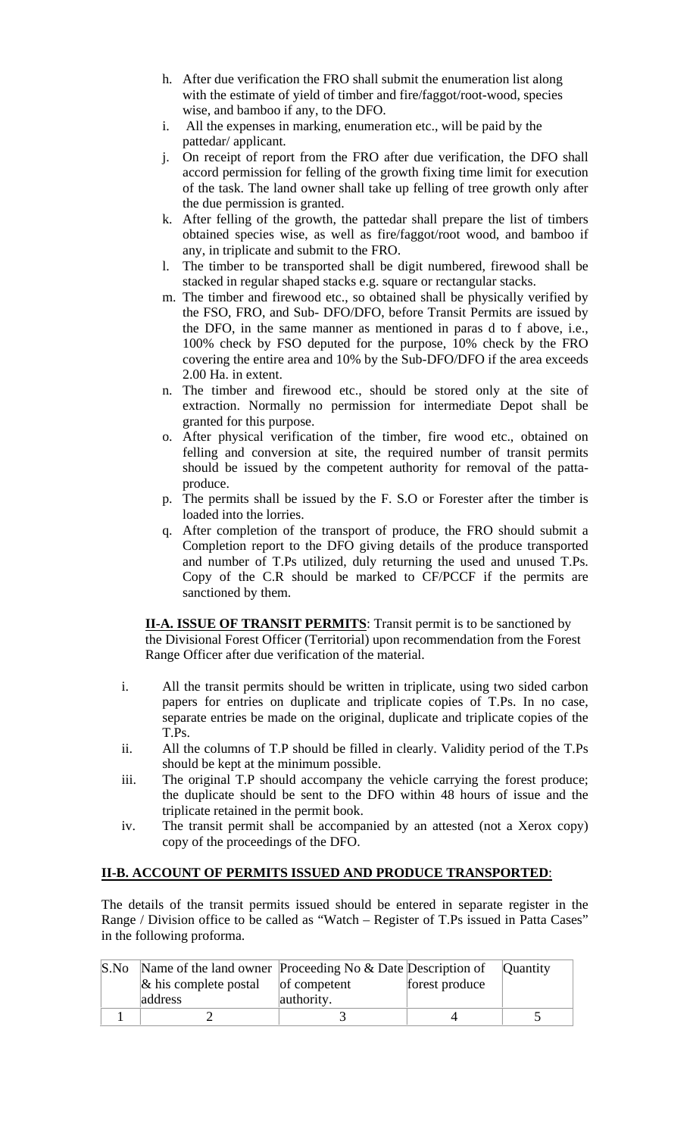- h. After due verification the FRO shall submit the enumeration list along with the estimate of yield of timber and fire/faggot/root-wood, species wise, and bamboo if any, to the DFO.
- i. All the expenses in marking, enumeration etc., will be paid by the pattedar/ applicant.
- j. On receipt of report from the FRO after due verification, the DFO shall accord permission for felling of the growth fixing time limit for execution of the task. The land owner shall take up felling of tree growth only after the due permission is granted.
- k. After felling of the growth, the pattedar shall prepare the list of timbers obtained species wise, as well as fire/faggot/root wood, and bamboo if any, in triplicate and submit to the FRO.
- l. The timber to be transported shall be digit numbered, firewood shall be stacked in regular shaped stacks e.g. square or rectangular stacks.
- m. The timber and firewood etc., so obtained shall be physically verified by the FSO, FRO, and Sub- DFO/DFO, before Transit Permits are issued by the DFO, in the same manner as mentioned in paras d to f above, i.e., 100% check by FSO deputed for the purpose, 10% check by the FRO covering the entire area and 10% by the Sub-DFO/DFO if the area exceeds 2.00 Ha. in extent.
- n. The timber and firewood etc., should be stored only at the site of extraction. Normally no permission for intermediate Depot shall be granted for this purpose.
- o. After physical verification of the timber, fire wood etc., obtained on felling and conversion at site, the required number of transit permits should be issued by the competent authority for removal of the pattaproduce.
- p. The permits shall be issued by the F. S.O or Forester after the timber is loaded into the lorries.
- q. After completion of the transport of produce, the FRO should submit a Completion report to the DFO giving details of the produce transported and number of T.Ps utilized, duly returning the used and unused T.Ps. Copy of the C.R should be marked to CF/PCCF if the permits are sanctioned by them.

**II-A. ISSUE OF TRANSIT PERMITS**: Transit permit is to be sanctioned by the Divisional Forest Officer (Territorial) upon recommendation from the Forest Range Officer after due verification of the material.

- i. All the transit permits should be written in triplicate, using two sided carbon papers for entries on duplicate and triplicate copies of T.Ps. In no case, separate entries be made on the original, duplicate and triplicate copies of the T.Ps.
- ii. All the columns of T.P should be filled in clearly. Validity period of the T.Ps should be kept at the minimum possible.
- iii. The original T.P should accompany the vehicle carrying the forest produce; the duplicate should be sent to the DFO within 48 hours of issue and the triplicate retained in the permit book.
- iv. The transit permit shall be accompanied by an attested (not a Xerox copy) copy of the proceedings of the DFO.

# **II-B. ACCOUNT OF PERMITS ISSUED AND PRODUCE TRANSPORTED**:

The details of the transit permits issued should be entered in separate register in the Range / Division office to be called as "Watch – Register of T.Ps issued in Patta Cases" in the following proforma.

| S. No Name of the land owner Proceeding No & Date Description of Quantity |            |                |  |
|---------------------------------------------------------------------------|------------|----------------|--|
| $\&$ his complete postal   of competent                                   |            | forest produce |  |
| address                                                                   | authority. |                |  |
|                                                                           |            |                |  |